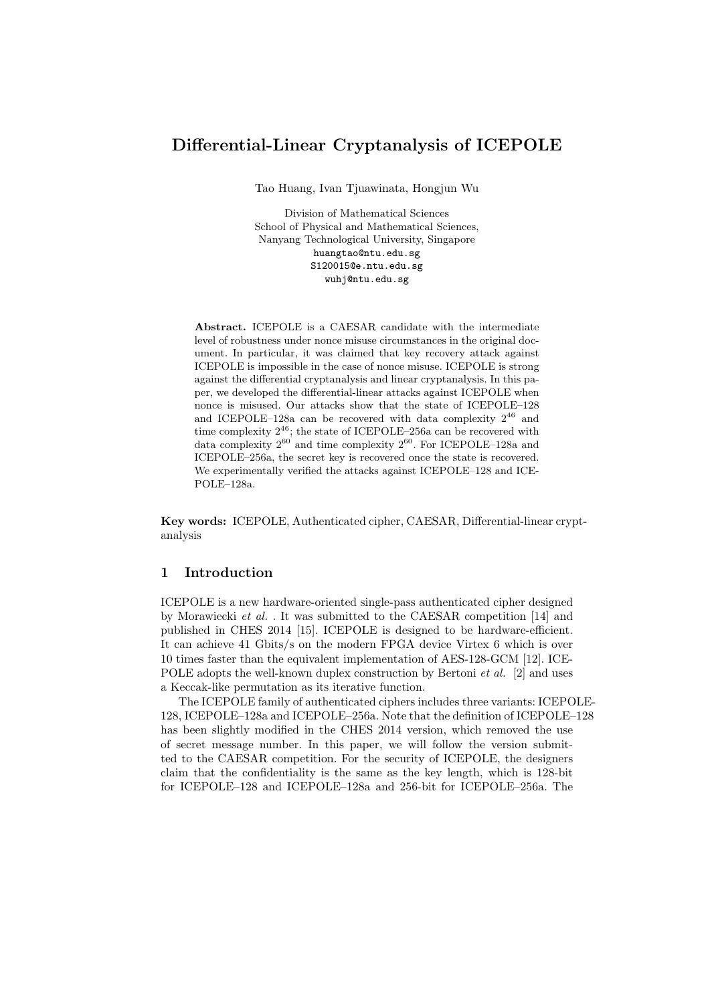# Differential-Linear Cryptanalysis of ICEPOLE

Tao Huang, Ivan Tjuawinata, Hongjun Wu

Division of Mathematical Sciences School of Physical and Mathematical Sciences, Nanyang Technological University, Singapore huangtao@ntu.edu.sg S120015@e.ntu.edu.sg wuhj@ntu.edu.sg

Abstract. ICEPOLE is a CAESAR candidate with the intermediate level of robustness under nonce misuse circumstances in the original document. In particular, it was claimed that key recovery attack against ICEPOLE is impossible in the case of nonce misuse. ICEPOLE is strong against the differential cryptanalysis and linear cryptanalysis. In this paper, we developed the differential-linear attacks against ICEPOLE when nonce is misused. Our attacks show that the state of ICEPOLE–128 and ICEPOLE–128a can be recovered with data complexity  $2^{46}$  and time complexity  $2^{46}$ ; the state of ICEPOLE–256a can be recovered with data complexity  $2^{60}$  and time complexity  $2^{60}$ . For ICEPOLE–128a and ICEPOLE–256a, the secret key is recovered once the state is recovered. We experimentally verified the attacks against ICEPOLE–128 and ICE-POLE–128a.

Key words: ICEPOLE, Authenticated cipher, CAESAR, Differential-linear cryptanalysis

# 1 Introduction

ICEPOLE is a new hardware-oriented single-pass authenticated cipher designed by Morawiecki et al. . It was submitted to the CAESAR competition [14] and published in CHES 2014 [15]. ICEPOLE is designed to be hardware-efficient. It can achieve 41 Gbits/s on the modern FPGA device Virtex 6 which is over 10 times faster than the equivalent implementation of AES-128-GCM [12]. ICE-POLE adopts the well-known duplex construction by Bertoni *et al.* [2] and uses a Keccak-like permutation as its iterative function.

The ICEPOLE family of authenticated ciphers includes three variants: ICEPOLE-128, ICEPOLE–128a and ICEPOLE–256a. Note that the definition of ICEPOLE–128 has been slightly modified in the CHES 2014 version, which removed the use of secret message number. In this paper, we will follow the version submitted to the CAESAR competition. For the security of ICEPOLE, the designers claim that the confidentiality is the same as the key length, which is 128-bit for ICEPOLE–128 and ICEPOLE–128a and 256-bit for ICEPOLE–256a. The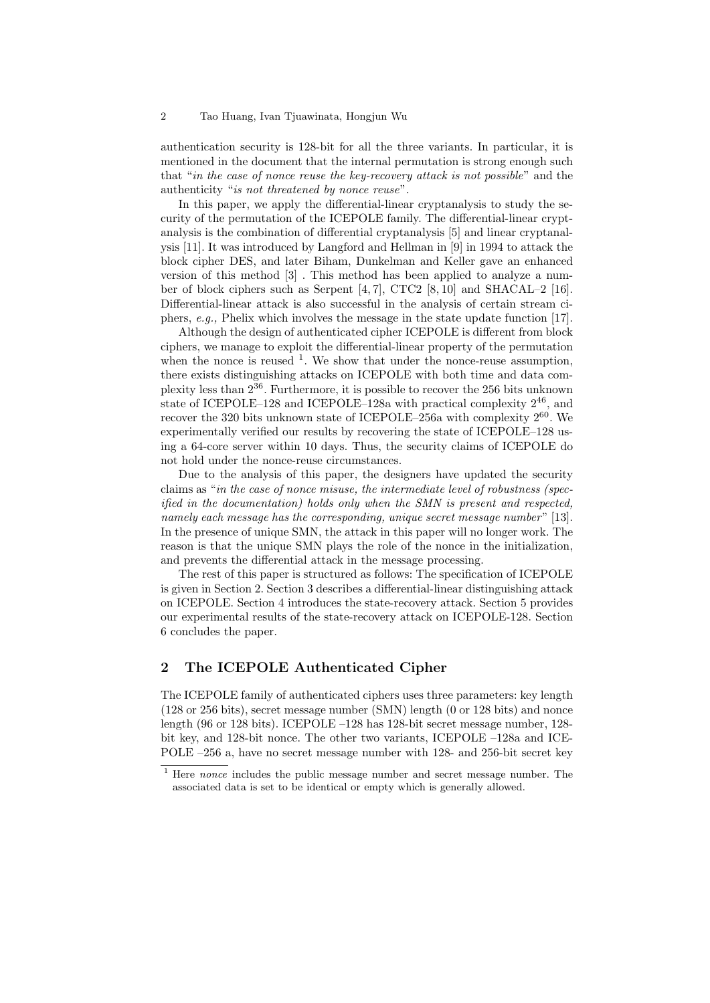authentication security is 128-bit for all the three variants. In particular, it is mentioned in the document that the internal permutation is strong enough such that "in the case of nonce reuse the key-recovery attack is not possible" and the authenticity "is not threatened by nonce reuse".

In this paper, we apply the differential-linear cryptanalysis to study the security of the permutation of the ICEPOLE family. The differential-linear cryptanalysis is the combination of differential cryptanalysis [5] and linear cryptanalysis [11]. It was introduced by Langford and Hellman in [9] in 1994 to attack the block cipher DES, and later Biham, Dunkelman and Keller gave an enhanced version of this method [3] . This method has been applied to analyze a number of block ciphers such as Serpent  $[4, 7]$ , CTC2  $[8, 10]$  and SHACAL–2  $[16]$ . Differential-linear attack is also successful in the analysis of certain stream ciphers, e.g., Phelix which involves the message in the state update function [17].

Although the design of authenticated cipher ICEPOLE is different from block ciphers, we manage to exploit the differential-linear property of the permutation when the nonce is reused  $<sup>1</sup>$ . We show that under the nonce-reuse assumption,</sup> there exists distinguishing attacks on ICEPOLE with both time and data complexity less than  $2^{36}$ . Furthermore, it is possible to recover the 256 bits unknown state of ICEPOLE–128 and ICEPOLE–128a with practical complexity  $2^{46}$ , and recover the 320 bits unknown state of ICEPOLE–256a with complexity  $2^{60}$ . We experimentally verified our results by recovering the state of ICEPOLE–128 using a 64-core server within 10 days. Thus, the security claims of ICEPOLE do not hold under the nonce-reuse circumstances.

Due to the analysis of this paper, the designers have updated the security claims as "in the case of nonce misuse, the intermediate level of robustness (specified in the documentation) holds only when the SMN is present and respected, namely each message has the corresponding, unique secret message number"  $[13]$ . In the presence of unique SMN, the attack in this paper will no longer work. The reason is that the unique SMN plays the role of the nonce in the initialization, and prevents the differential attack in the message processing.

The rest of this paper is structured as follows: The specification of ICEPOLE is given in Section 2. Section 3 describes a differential-linear distinguishing attack on ICEPOLE. Section 4 introduces the state-recovery attack. Section 5 provides our experimental results of the state-recovery attack on ICEPOLE-128. Section 6 concludes the paper.

# 2 The ICEPOLE Authenticated Cipher

The ICEPOLE family of authenticated ciphers uses three parameters: key length (128 or 256 bits), secret message number (SMN) length (0 or 128 bits) and nonce length (96 or 128 bits). ICEPOLE –128 has 128-bit secret message number, 128 bit key, and 128-bit nonce. The other two variants, ICEPOLE –128a and ICE-POLE –256 a, have no secret message number with 128- and 256-bit secret key

<sup>&</sup>lt;sup>1</sup> Here *nonce* includes the public message number and secret message number. The associated data is set to be identical or empty which is generally allowed.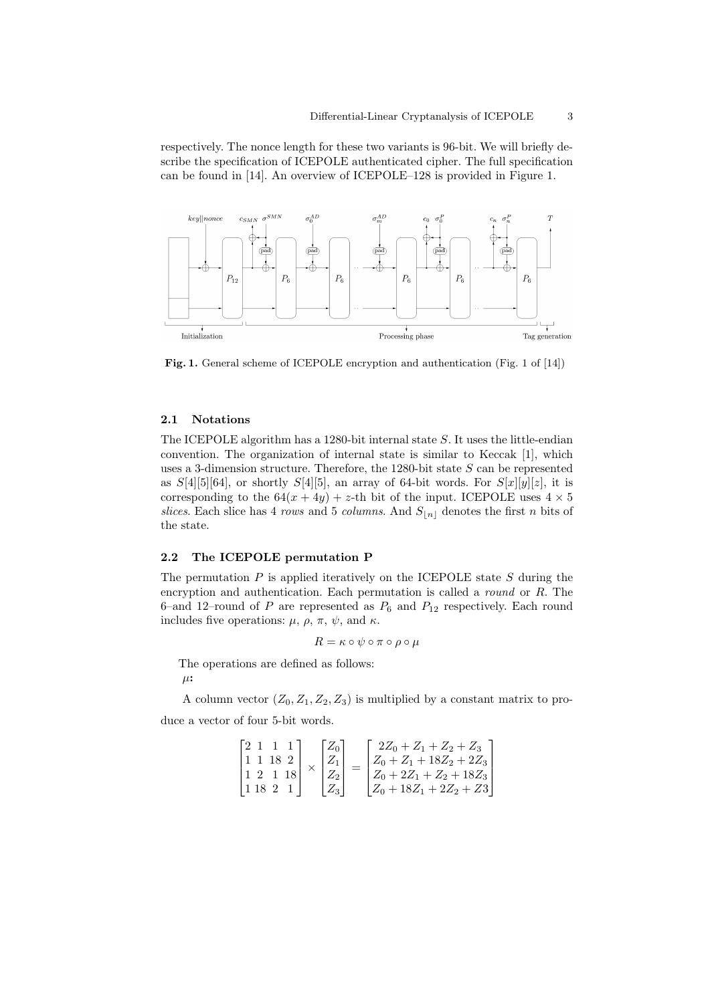respectively. The nonce length for these two variants is 96-bit. We will briefly describe the specification of ICEPOLE authenticated cipher. The full specification can be found in [14]. An overview of ICEPOLE–128 is provided in Figure 1.



Fig. 1. General scheme of ICEPOLE encryption and authentication (Fig. 1 of [14])

#### 2.1 Notations

The ICEPOLE algorithm has a 1280-bit internal state S. It uses the little-endian convention. The organization of internal state is similar to Keccak [1], which uses a 3-dimension structure. Therefore, the 1280-bit state  $S$  can be represented as  $S[4][5][64]$ , or shortly  $S[4][5]$ , an array of 64-bit words. For  $S[x][y][z]$ , it is corresponding to the  $64(x + 4y) + z$ -th bit of the input. ICEPOLE uses  $4 \times 5$ slices. Each slice has 4 rows and 5 columns. And  $S_{n}$  denotes the first n bits of the state.

## 2.2 The ICEPOLE permutation P

The permutation  $P$  is applied iteratively on the ICEPOLE state  $S$  during the encryption and authentication. Each permutation is called a round or R. The 6–and 12–round of P are represented as  $P_6$  and  $P_{12}$  respectively. Each round includes five operations:  $\mu$ ,  $\rho$ ,  $\pi$ ,  $\psi$ , and  $\kappa$ .

$$
R = \kappa \circ \psi \circ \pi \circ \rho \circ \mu
$$

The operations are defined as follows:

 $\mu$ :

A column vector  $(Z_0, Z_1, Z_2, Z_3)$  is multiplied by a constant matrix to produce a vector of four 5-bit words.

$$
\begin{bmatrix} 2 & 1 & 1 & 1 \\ 1 & 1 & 18 & 2 \\ 1 & 2 & 1 & 18 \\ 1 & 18 & 2 & 1 \end{bmatrix} \times \begin{bmatrix} Z_0 \\ Z_1 \\ Z_2 \\ Z_3 \end{bmatrix} = \begin{bmatrix} 2Z_0 + Z_1 + Z_2 + Z_3 \\ Z_0 + Z_1 + 18Z_2 + 2Z_3 \\ Z_0 + 2Z_1 + Z_2 + 18Z_3 \\ Z_0 + 18Z_1 + 2Z_2 + Z_3 \end{bmatrix}
$$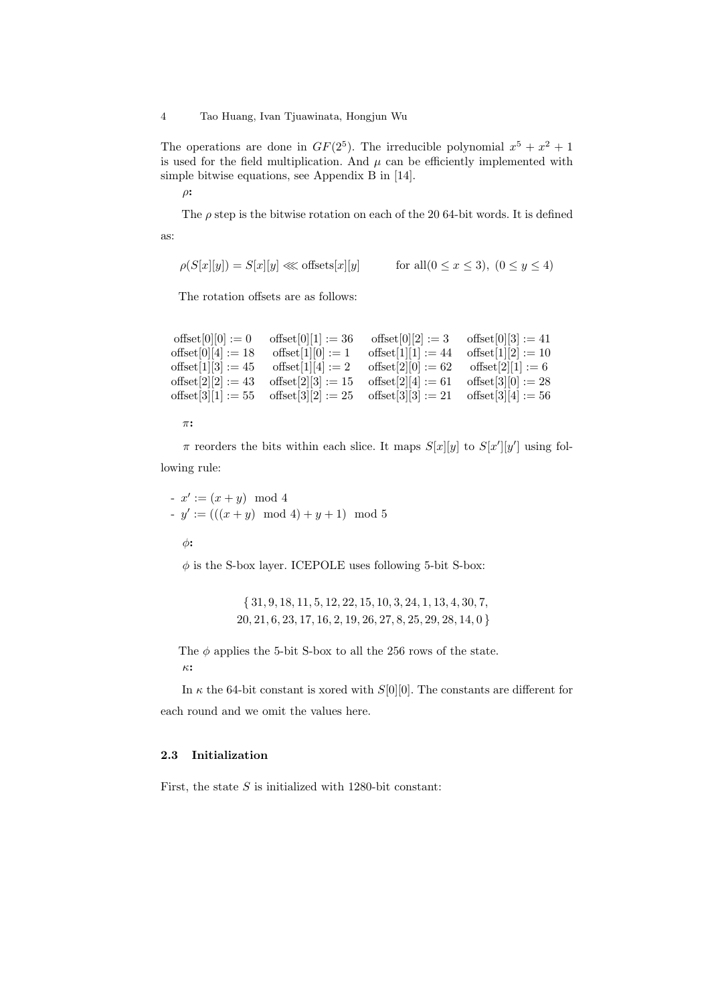The operations are done in  $GF(2^5)$ . The irreducible polynomial  $x^5 + x^2 + 1$ is used for the field multiplication. And  $\mu$  can be efficiently implemented with simple bitwise equations, see Appendix B in [14].

 $\rho$ :

The  $\rho$  step is the bitwise rotation on each of the 20 64-bit words. It is defined as:

$$
\rho(S[x][y]) = S[x][y] \ll \text{offsets}[x][y] \qquad \text{for all } 0 \le x \le 3, \ (0 \le y \le 4)
$$

The rotation offsets are as follows:

```
offset[0][0] := 0 offset[0][1] := 36 offset[0][2] := 3 offset[0][3] := 41offset[0][4] := 18 offset[1][0] := 1 offset[1][1] := 44 offset[1][2] := 10<br>offset[1][3] := 45 offset[1][4] := 2 offset[2][0] := 62 offset[2][1] := 6
                        offset[1][4] := 2 offset[2][0] := 62 offset[2][1] := 6offset[2][2] := 43 offset[2][3] := 15 offset[2][4] := 61 offset[3][0] := 28
offset[3][1] := 55 offset[3][2] := 25 offset[3][3] := 21 offset[3][4] := 56
```
π:

 $\pi$  reorders the bits within each slice. It maps  $S[x][y]$  to  $S[x'][y']$  using following rule:

 $x' := (x + y) \mod 4$  $-y' := (((x + y) \mod 4) + y + 1) \mod 5$ 

 $\phi$ :

 $\phi$  is the S-box layer. ICEPOLE uses following 5-bit S-box:

{ 31, 9, 18, 11, 5, 12, 22, 15, 10, 3, 24, 1, 13, 4, 30, 7, 20, 21, 6, 23, 17, 16, 2, 19, 26, 27, 8, 25, 29, 28, 14, 0 }

The  $\phi$  applies the 5-bit S-box to all the 256 rows of the state. κ:

In  $\kappa$  the 64-bit constant is xored with S[0][0]. The constants are different for each round and we omit the values here.

### 2.3 Initialization

First, the state  $S$  is initialized with 1280-bit constant: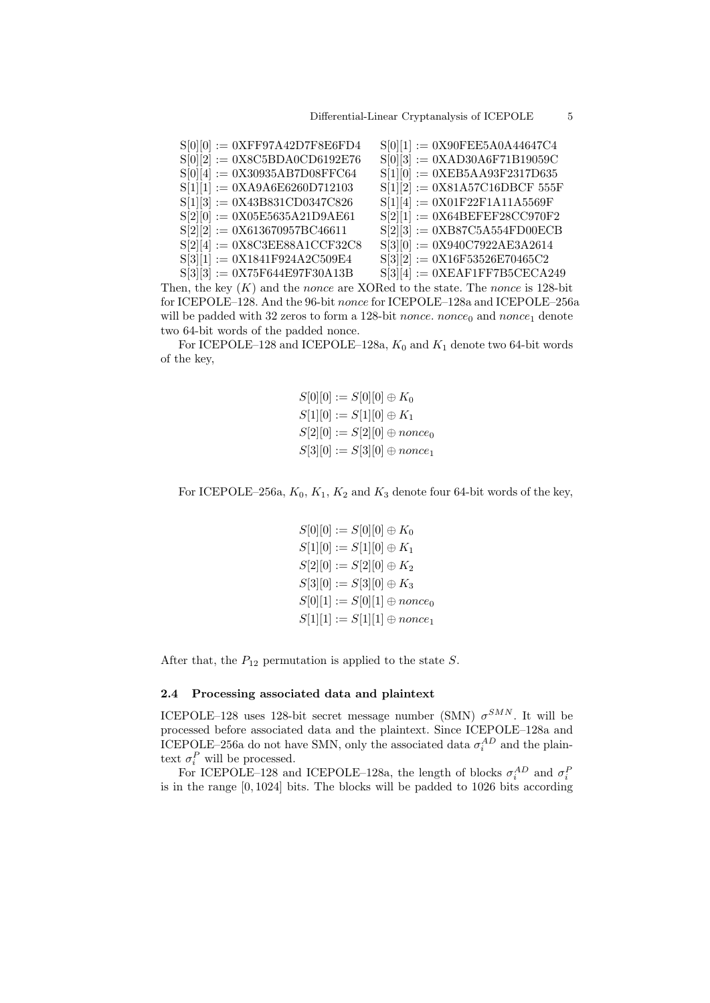| $S[0][0] := 0XFF97A42D7F8E6FD4$ | $S[0][1] := 0X90FEE5A0A44647C4$  |
|---------------------------------|----------------------------------|
| $S[0][2] := 0X8C5BDA0CD6192E76$ | $S[0][3] := 0XAD30A6F71B19059C$  |
| $S[0][4] := 0X30935AB7D08FFC64$ | $S[1][0] := 0XEB5AA93F2317D635$  |
| $S[1][1] := 0XA9A6E6260D712103$ | $S[1][2] := 0X81A57C16DBCF 555F$ |
| $S[1][3] := 0X43B831CD0347C826$ | $S[1][4] := 0X01F22F1A11A5569F$  |
| $S[2][0] := 0X05E5635A21D9AE61$ | $S[2][1] := 0X64BEFEF28CC970F2$  |
| $S[2][2] := 0X613670957BC46611$ | $S[2][3] := 0XB87C5A554FDO0ECB$  |
| $S[2][4] := 0X8C3EE88A1CCF32C8$ | $S[3][0] := 0X940C7922AE3A2614$  |
| $S[3][1] := 0X1841F924A2C509E4$ | $S[3][2] := 0X16F53526E70465C2$  |
| $S[3][3] := 0X75F644E97F30A13B$ | $S[3][4] := 0XEAF1FF7B5CECA249$  |
|                                 |                                  |

Then, the key  $(K)$  and the nonce are XORed to the state. The nonce is 128-bit for ICEPOLE–128. And the 96-bit nonce for ICEPOLE–128a and ICEPOLE–256a will be padded with 32 zeros to form a 128-bit *nonce*. *nonce*<sub>0</sub> and *nonce*<sub>1</sub> denote two 64-bit words of the padded nonce.

For ICEPOLE–128 and ICEPOLE–128a,  $K_0$  and  $K_1$  denote two 64-bit words of the key,

> $S[0][0] := S[0][0] \oplus K_0$  $S[1][0] := S[1][0] \oplus K_1$  $S[2][0] := S[2][0] \oplus \textit{nonce}_0$  $S[3][0] := S[3][0] \oplus nonce_1$

For ICEPOLE–256a,  $K_0$ ,  $K_1$ ,  $K_2$  and  $K_3$  denote four 64-bit words of the key,

 $S[0][0] := S[0][0] \oplus K_0$  $S[1][0] := S[1][0] \oplus K_1$  $S[2][0] := S[2][0] \oplus K_2$  $S[3][0] := S[3][0] \oplus K_3$  $S[0][1] := S[0][1] \oplus \text{nonce}_0$  $S[1][1] := S[1][1] \oplus nonce_1$ 

After that, the  $P_{12}$  permutation is applied to the state S.

#### 2.4 Processing associated data and plaintext

ICEPOLE–128 uses 128-bit secret message number (SMN)  $\sigma^{SMN}$ . It will be processed before associated data and the plaintext. Since ICEPOLE–128a and ICEPOLE–256a do not have SMN, only the associated data  $\sigma_i^{AD}$  and the plaintext  $\sigma_i^P$  will be processed.

For ICEPOLE–128 and ICEPOLE–128a, the length of blocks  $\sigma_i^{AD}$  and  $\sigma_i^{F}$ is in the range [0, 1024] bits. The blocks will be padded to 1026 bits according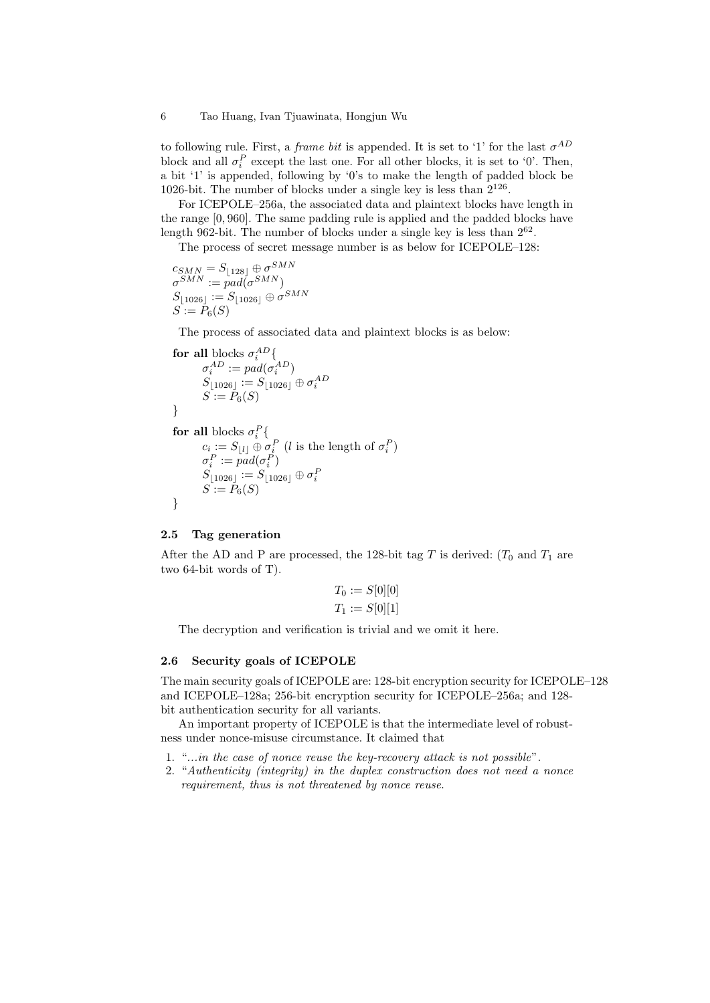to following rule. First, a *frame bit* is appended. It is set to '1' for the last  $\sigma^{AD}$ block and all  $\sigma_i^P$  except the last one. For all other blocks, it is set to '0'. Then, a bit '1' is appended, following by '0's to make the length of padded block be 1026-bit. The number of blocks under a single key is less than  $2^{126}$ .

For ICEPOLE–256a, the associated data and plaintext blocks have length in the range [0, 960]. The same padding rule is applied and the padded blocks have length 962-bit. The number of blocks under a single key is less than  $2^{62}$ .

The process of secret message number is as below for ICEPOLE–128:

 $c_{SMN}=S_{\lfloor 128 \rfloor} \oplus \sigma^{SMN}$  $\sigma^{SMN} := pad(\sigma^{SMN})$  $S_{\lfloor 1026 \rfloor} := S_{\lfloor 1026 \rfloor} \oplus \sigma^{SMN}$  $S := P_6(S)$ 

The process of associated data and plaintext blocks is as below:

$$
\begin{array}{l} \textbf{for all blocks}\ \sigma_i^{AD}\lbrace \\\sigma_i^{AD}:=pad(\sigma_i^{AD}) \\ S_{\lfloor 1026 \rfloor}:=S_{\lfloor 1026 \rfloor}\oplus \sigma_i^{AD} \\ S:=P_6(S) \end{array}
$$

for all blocks  $\sigma_i^P$ {  $c_i := S_{\lfloor l \rfloor} \oplus \sigma_i^P$  (*l* is the length of  $\sigma_i^P$ )  $\sigma_i^P := pad(\sigma_i^P)$  $S_{\lfloor 1026 \rfloor} := S_{\lfloor 1026 \rfloor} \oplus \sigma^F_i$  $S := P_6(S)$ }

### 2.5 Tag generation

After the AD and P are processed, the 128-bit tag T is derived:  $(T_0$  and  $T_1$  are two 64-bit words of T).

$$
T_0 := S[0][0]
$$
  

$$
T_1 := S[0][1]
$$

The decryption and verification is trivial and we omit it here.

### 2.6 Security goals of ICEPOLE

The main security goals of ICEPOLE are: 128-bit encryption security for ICEPOLE–128 and ICEPOLE–128a; 256-bit encryption security for ICEPOLE–256a; and 128 bit authentication security for all variants.

An important property of ICEPOLE is that the intermediate level of robustness under nonce-misuse circumstance. It claimed that

- 1. "...in the case of nonce reuse the key-recovery attack is not possible".
- 2. "Authenticity (integrity) in the duplex construction does not need a nonce requirement, thus is not threatened by nonce reuse.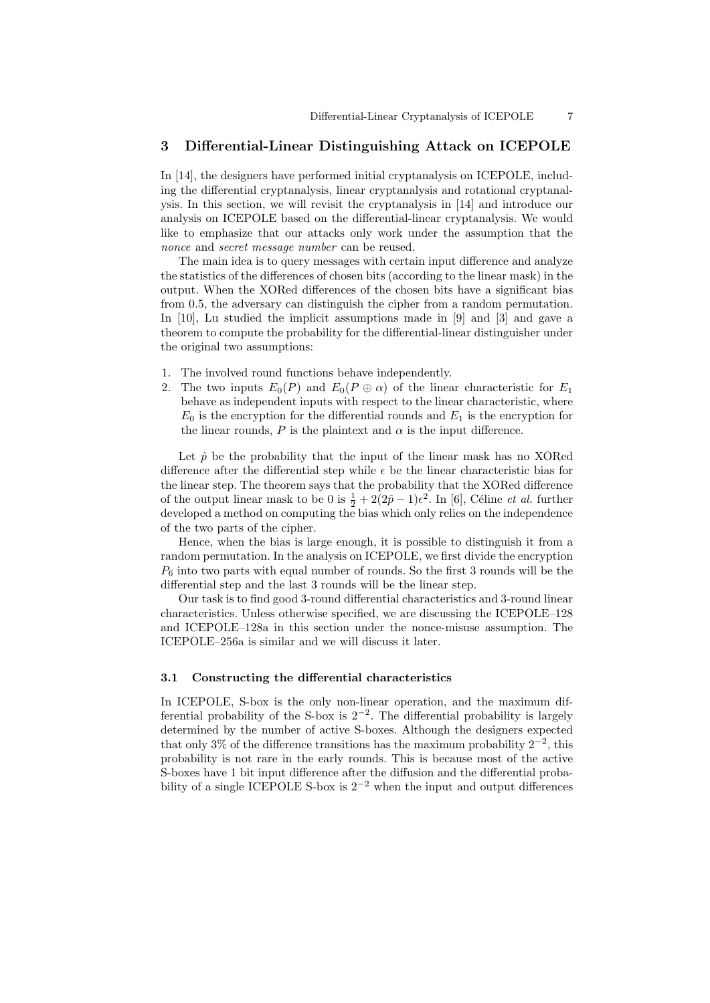### 3 Differential-Linear Distinguishing Attack on ICEPOLE

In [14], the designers have performed initial cryptanalysis on ICEPOLE, including the differential cryptanalysis, linear cryptanalysis and rotational cryptanalysis. In this section, we will revisit the cryptanalysis in [14] and introduce our analysis on ICEPOLE based on the differential-linear cryptanalysis. We would like to emphasize that our attacks only work under the assumption that the nonce and *secret message number* can be reused.

The main idea is to query messages with certain input difference and analyze the statistics of the differences of chosen bits (according to the linear mask) in the output. When the XORed differences of the chosen bits have a significant bias from 0.5, the adversary can distinguish the cipher from a random permutation. In [10], Lu studied the implicit assumptions made in [9] and [3] and gave a theorem to compute the probability for the differential-linear distinguisher under the original two assumptions:

- 1. The involved round functions behave independently.
- 2. The two inputs  $E_0(P)$  and  $E_0(P \oplus \alpha)$  of the linear characteristic for  $E_1$ behave as independent inputs with respect to the linear characteristic, where  $E_0$  is the encryption for the differential rounds and  $E_1$  is the encryption for the linear rounds,  $P$  is the plaintext and  $\alpha$  is the input difference.

Let  $\hat{p}$  be the probability that the input of the linear mask has no XORed difference after the differential step while  $\epsilon$  be the linear characteristic bias for the linear step. The theorem says that the probability that the XORed difference of the output linear mask to be 0 is  $\frac{1}{2} + 2(2\hat{p} - 1)\epsilon^2$ . In [6], Céline *et al.* further developed a method on computing the bias which only relies on the independence of the two parts of the cipher.

Hence, when the bias is large enough, it is possible to distinguish it from a random permutation. In the analysis on ICEPOLE, we first divide the encryption  $P_6$  into two parts with equal number of rounds. So the first 3 rounds will be the differential step and the last 3 rounds will be the linear step.

Our task is to find good 3-round differential characteristics and 3-round linear characteristics. Unless otherwise specified, we are discussing the ICEPOLE–128 and ICEPOLE–128a in this section under the nonce-misuse assumption. The ICEPOLE–256a is similar and we will discuss it later.

#### 3.1 Constructing the differential characteristics

In ICEPOLE, S-box is the only non-linear operation, and the maximum differential probability of the S-box is  $2^{-2}$ . The differential probability is largely determined by the number of active S-boxes. Although the designers expected that only 3% of the difference transitions has the maximum probability  $2^{-2}$ , this probability is not rare in the early rounds. This is because most of the active S-boxes have 1 bit input difference after the diffusion and the differential probability of a single ICEPOLE S-box is  $2^{-2}$  when the input and output differences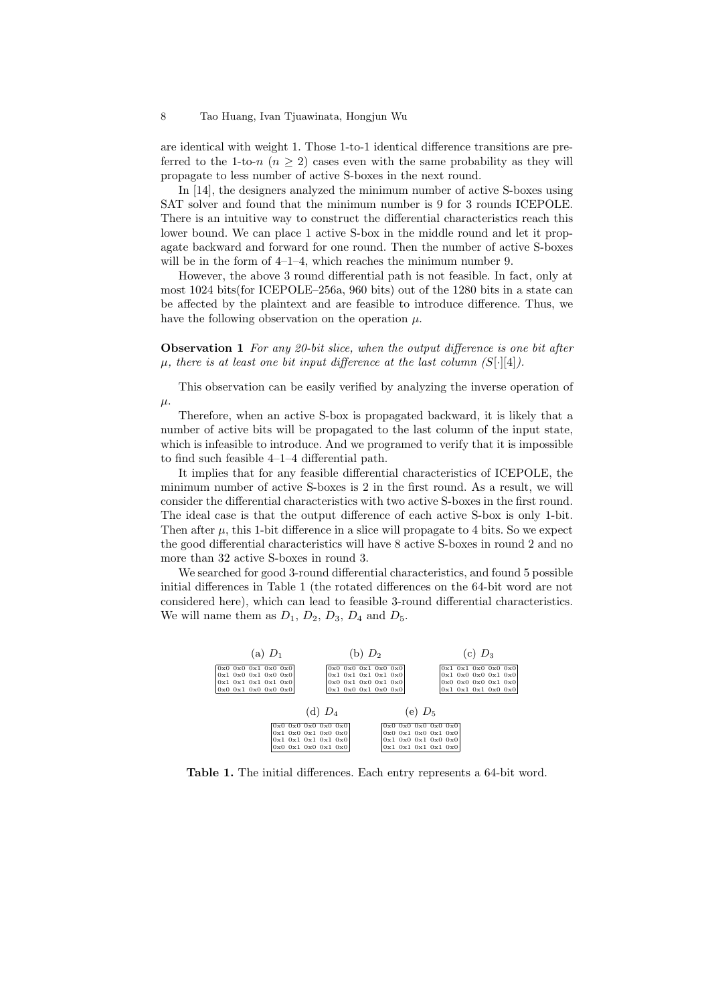are identical with weight 1. Those 1-to-1 identical difference transitions are preferred to the 1-to-n  $(n \geq 2)$  cases even with the same probability as they will propagate to less number of active S-boxes in the next round.

In [14], the designers analyzed the minimum number of active S-boxes using SAT solver and found that the minimum number is 9 for 3 rounds ICEPOLE. There is an intuitive way to construct the differential characteristics reach this lower bound. We can place 1 active S-box in the middle round and let it propagate backward and forward for one round. Then the number of active S-boxes will be in the form of  $4-1-4$ , which reaches the minimum number 9.

However, the above 3 round differential path is not feasible. In fact, only at most 1024 bits(for ICEPOLE–256a, 960 bits) out of the 1280 bits in a state can be affected by the plaintext and are feasible to introduce difference. Thus, we have the following observation on the operation  $\mu$ .

Observation 1 For any 20-bit slice, when the output difference is one bit after  $\mu$ , there is at least one bit input difference at the last column (S[·][4]).

This observation can be easily verified by analyzing the inverse operation of  $\mu$ .

Therefore, when an active S-box is propagated backward, it is likely that a number of active bits will be propagated to the last column of the input state, which is infeasible to introduce. And we programed to verify that it is impossible to find such feasible 4–1–4 differential path.

It implies that for any feasible differential characteristics of ICEPOLE, the minimum number of active S-boxes is 2 in the first round. As a result, we will consider the differential characteristics with two active S-boxes in the first round. The ideal case is that the output difference of each active S-box is only 1-bit. Then after  $\mu$ , this 1-bit difference in a slice will propagate to 4 bits. So we expect the good differential characteristics will have 8 active S-boxes in round 2 and no more than 32 active S-boxes in round 3.

We searched for good 3-round differential characteristics, and found 5 possible initial differences in Table 1 (the rotated differences on the 64-bit word are not considered here), which can lead to feasible 3-round differential characteristics. We will name them as  $D_1$ ,  $D_2$ ,  $D_3$ ,  $D_4$  and  $D_5$ .



Table 1. The initial differences. Each entry represents a 64-bit word.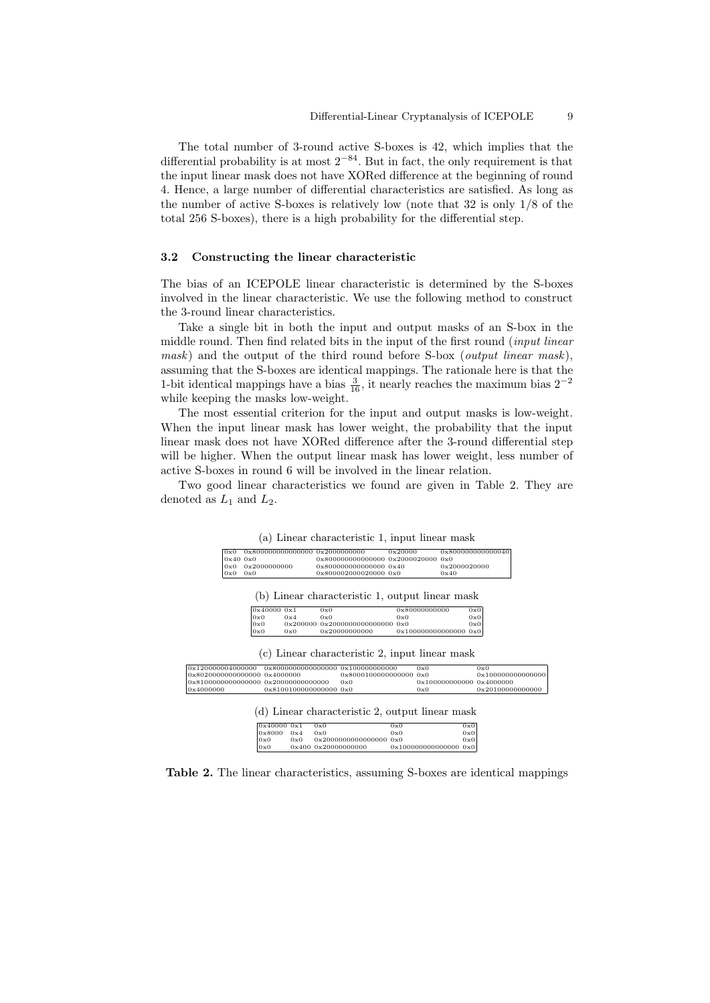The total number of 3-round active S-boxes is 42, which implies that the differential probability is at most  $2^{-84}$ . But in fact, the only requirement is that the input linear mask does not have XORed difference at the beginning of round 4. Hence, a large number of differential characteristics are satisfied. As long as the number of active S-boxes is relatively low (note that 32 is only 1/8 of the total 256 S-boxes), there is a high probability for the differential step.

### 3.2 Constructing the linear characteristic

The bias of an ICEPOLE linear characteristic is determined by the S-boxes involved in the linear characteristic. We use the following method to construct the 3-round linear characteristics.

Take a single bit in both the input and output masks of an S-box in the middle round. Then find related bits in the input of the first round (input linear mask) and the output of the third round before S-box (*output linear mask*), assuming that the S-boxes are identical mappings. The rationale here is that the 1-bit identical mappings have a bias  $\frac{3}{16}$ , it nearly reaches the maximum bias 2<sup>-2</sup> while keeping the masks low-weight.

The most essential criterion for the input and output masks is low-weight. When the input linear mask has lower weight, the probability that the input linear mask does not have XORed difference after the 3-round differential step will be higher. When the output linear mask has lower weight, less number of active S-boxes in round 6 will be involved in the linear relation.

Two good linear characteristics we found are given in Table 2. They are denoted as  $L_1$  and  $L_2$ .

| 0x0          | 0x800000000000000 0x2000000000 |                                    | 0x20000 | 0x800000000000040 |
|--------------|--------------------------------|------------------------------------|---------|-------------------|
| $0x40$ $0x0$ |                                | 0x800000000000000 0x2000020000 0x0 |         |                   |
|              | $0x0$ $0x2000000000$           | 0x800000000000000 0x40             |         | 0x2000020000      |
| 0x0          | 0x0                            | 0x800002000020000 0x0              |         | 0x40              |

| 0x0 | 0x4 | 0x0                                                        | 0x0                       | $0 \times 0$ |
|-----|-----|------------------------------------------------------------|---------------------------|--------------|
| 0x0 |     | $0 \times 200000$ $0 \times 2000000000000000$ $0 \times 0$ |                           | 0x0          |
| 0x0 | 0x0 | 0x20000000000                                              | $0x100000000000000$ $0x0$ |              |

 $0 \times 0$  0x80000000000 0x0

|                                     |            |     |                        | (c) Linear characteristic 2, input linear mask  |     |                                  |     |                   |
|-------------------------------------|------------|-----|------------------------|-------------------------------------------------|-----|----------------------------------|-----|-------------------|
| 0x120000004000000                   |            |     |                        | 0x80000000000000000 0x100000000000              |     | 0x0                              |     | 0x0               |
| 0x8020000000000000 0x4000000        |            |     |                        | $0 \times 800010000000000000000$                |     |                                  |     | 0x100000000000000 |
| 0x8100000000000000 0x20000000000000 |            |     |                        | 0x0                                             |     | 0x100000000000 0x4000000         |     |                   |
| 0x4000000                           |            |     | 0x8100100000000000 0x0 |                                                 |     | 0x0                              |     | 0x20100000000000  |
|                                     |            |     |                        | (d) Linear characteristic 2, output linear mask |     |                                  |     |                   |
|                                     | 0x400000x1 |     | 0x0                    |                                                 | 0x0 |                                  | 0x0 |                   |
|                                     | 0x8000     | 0x4 | 0x0                    |                                                 | 0x0 |                                  | 0x0 |                   |
|                                     | 0x0        | 0x0 |                        | $0 \times 2000000000000000000000$               |     |                                  | 0x0 |                   |
|                                     | 0x0        |     |                        | $0 \times 400$ $0 \times 20000000000$           |     | $0 \times 100000000000000000000$ |     |                   |

 $\mathbf{r}$  Linear characteristic 2, input linear masks  $\mathbf{r}$ 

Table 2. The linear characteristics, assuming S-boxes are identical mappings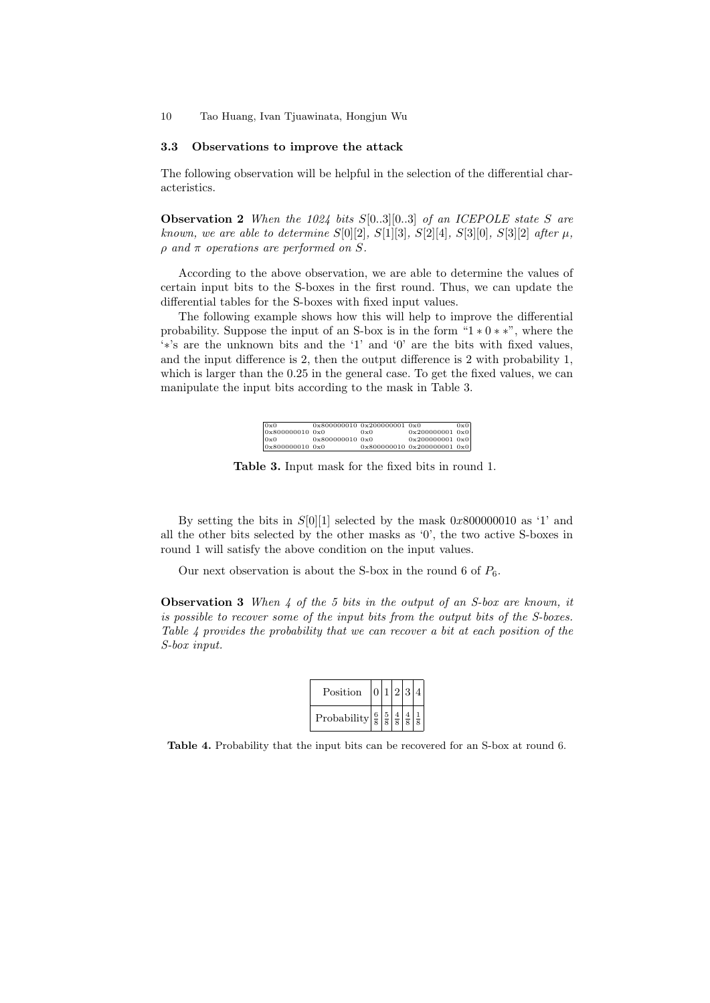#### 3.3 Observations to improve the attack

The following observation will be helpful in the selection of the differential characteristics.

**Observation 2** When the 1024 bits  $S[0..3][0..3]$  of an ICEPOLE state S are known, we are able to determine  $S[0][2]$ ,  $S[1][3]$ ,  $S[2][4]$ ,  $S[3][0]$ ,  $S[3][2]$  after  $\mu$ ,  $\rho$  and  $\pi$  operations are performed on S.

According to the above observation, we are able to determine the values of certain input bits to the S-boxes in the first round. Thus, we can update the differential tables for the S-boxes with fixed input values.

The following example shows how this will help to improve the differential probability. Suppose the input of an S-box is in the form "1  $*$  0  $*$  \*", where the '∗'s are the unknown bits and the '1' and '0' are the bits with fixed values, and the input difference is 2, then the output difference is 2 with probability 1, which is larger than the 0.25 in the general case. To get the fixed values, we can manipulate the input bits according to the mask in Table 3.

| 0x0             |                 | 0x800000010 0x200000001 0x0 |                                   | 0x0 |
|-----------------|-----------------|-----------------------------|-----------------------------------|-----|
| 0x800000010 0x0 |                 | $0 \times 0$                | $0 \times 200000001$ $0 \times 0$ |     |
| 0x0             | 0x80000001000x0 |                             | $0 \times 200000001$ $0 \times 0$ |     |
| 0x800000010 0x0 |                 |                             | 0x800000010 0x200000001 0x0       |     |

Table 3. Input mask for the fixed bits in round 1.

By setting the bits in  $S[0][1]$  selected by the mask 0x800000010 as '1' and all the other bits selected by the other masks as '0', the two active S-boxes in round 1 will satisfy the above condition on the input values.

Our next observation is about the S-box in the round 6 of  $P_6$ .

**Observation 3** When  $\ddot{4}$  of the 5 bits in the output of an S-box are known, it is possible to recover some of the input bits from the output bits of the S-boxes. Table 4 provides the probability that we can recover a bit at each position of the S-box input.

| Position                                                                                                | 0 1 2 3 4 |  |  |
|---------------------------------------------------------------------------------------------------------|-----------|--|--|
| Probability $\frac{6}{8} \left  \frac{5}{8} \right  \frac{4}{8} \left  \frac{4}{8} \right  \frac{1}{8}$ |           |  |  |

Table 4. Probability that the input bits can be recovered for an S-box at round 6.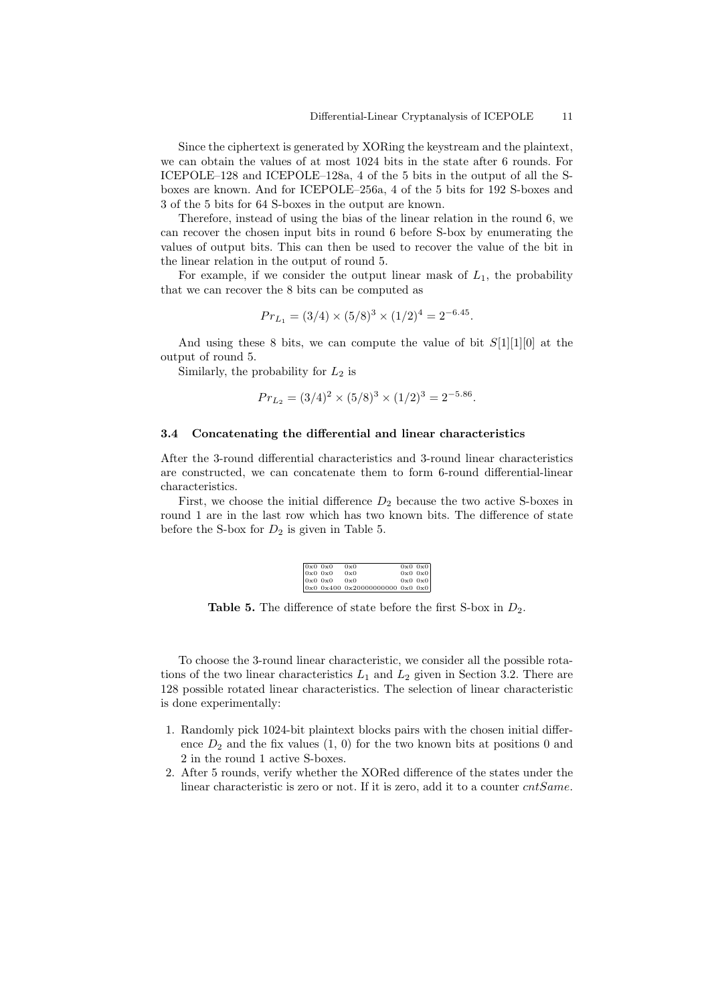Since the ciphertext is generated by XORing the keystream and the plaintext, we can obtain the values of at most 1024 bits in the state after 6 rounds. For ICEPOLE–128 and ICEPOLE–128a, 4 of the 5 bits in the output of all the Sboxes are known. And for ICEPOLE–256a, 4 of the 5 bits for 192 S-boxes and 3 of the 5 bits for 64 S-boxes in the output are known.

Therefore, instead of using the bias of the linear relation in the round 6, we can recover the chosen input bits in round 6 before S-box by enumerating the values of output bits. This can then be used to recover the value of the bit in the linear relation in the output of round 5.

For example, if we consider the output linear mask of  $L_1$ , the probability that we can recover the 8 bits can be computed as

$$
Pr_{L_1} = (3/4) \times (5/8)^3 \times (1/2)^4 = 2^{-6.45}.
$$

And using these 8 bits, we can compute the value of bit  $S[1][1][0]$  at the output of round 5.

Similarly, the probability for  $L_2$  is

$$
Pr_{L_2} = (3/4)^2 \times (5/8)^3 \times (1/2)^3 = 2^{-5.86}.
$$

#### 3.4 Concatenating the differential and linear characteristics

After the 3-round differential characteristics and 3-round linear characteristics are constructed, we can concatenate them to form 6-round differential-linear characteristics.

First, we choose the initial difference  $D_2$  because the two active S-boxes in round 1 are in the last row which has two known bits. The difference of state before the S-box for  $D_2$  is given in Table 5.

| $0x0$ 0x0   | 0x0                             | $0x0$ $0x0$ |
|-------------|---------------------------------|-------------|
| $0x0$ 0x0   | 0x0                             | $0x0$ $0x0$ |
| $0x0$ $0x0$ | 0x0                             | $0x0$ $0x0$ |
|             | 0x0 0x400 0x20000000000 0x0 0x0 |             |

**Table 5.** The difference of state before the first S-box in  $D_2$ .

To choose the 3-round linear characteristic, we consider all the possible rotations of the two linear characteristics  $L_1$  and  $L_2$  given in Section 3.2. There are 128 possible rotated linear characteristics. The selection of linear characteristic is done experimentally:

- 1. Randomly pick 1024-bit plaintext blocks pairs with the chosen initial difference  $D_2$  and the fix values  $(1, 0)$  for the two known bits at positions 0 and 2 in the round 1 active S-boxes.
- 2. After 5 rounds, verify whether the XORed difference of the states under the linear characteristic is zero or not. If it is zero, add it to a counter cntSame.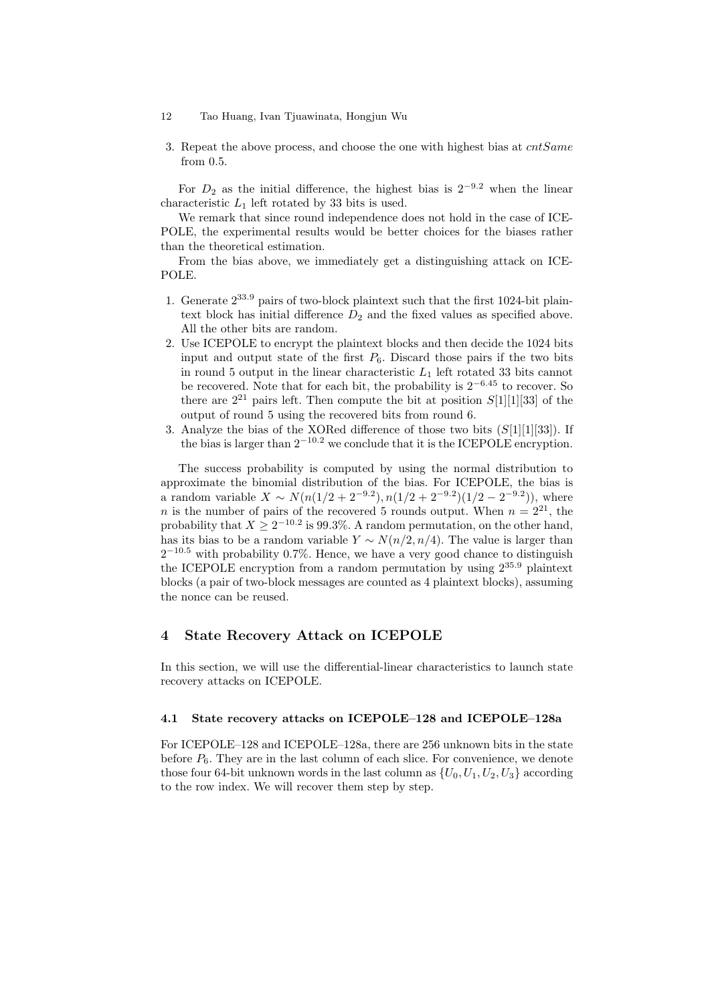- 12 Tao Huang, Ivan Tjuawinata, Hongjun Wu
- 3. Repeat the above process, and choose the one with highest bias at  $cntSame$ from 0.5.

For  $D_2$  as the initial difference, the highest bias is  $2^{-9.2}$  when the linear characteristic  $L_1$  left rotated by 33 bits is used.

We remark that since round independence does not hold in the case of ICE-POLE, the experimental results would be better choices for the biases rather than the theoretical estimation.

From the bias above, we immediately get a distinguishing attack on ICE-POLE.

- 1. Generate 233.<sup>9</sup> pairs of two-block plaintext such that the first 1024-bit plaintext block has initial difference  $D_2$  and the fixed values as specified above. All the other bits are random.
- 2. Use ICEPOLE to encrypt the plaintext blocks and then decide the 1024 bits input and output state of the first  $P_6$ . Discard those pairs if the two bits in round 5 output in the linear characteristic  $L_1$  left rotated 33 bits cannot be recovered. Note that for each bit, the probability is  $2^{-6.45}$  to recover. So there are  $2^{21}$  pairs left. Then compute the bit at position  $S[1][1][33]$  of the output of round 5 using the recovered bits from round 6.
- 3. Analyze the bias of the XORed difference of those two bits  $(S[1][1][33])$ . If the bias is larger than  $2^{-10.2}$  we conclude that it is the ICEPOLE encryption.

The success probability is computed by using the normal distribution to approximate the binomial distribution of the bias. For ICEPOLE, the bias is a random variable  $X \sim N(n(1/2 + 2^{-9.2}), n(1/2 + 2^{-9.2})(1/2 - 2^{-9.2}))$ , where *n* is the number of pairs of the recovered 5 rounds output. When  $n = 2^{21}$ , the probability that  $X \geq 2^{-10.2}$  is 99.3%. A random permutation, on the other hand, has its bias to be a random variable  $Y \sim N(n/2, n/4)$ . The value is larger than  $2^{-10.5}$  with probability 0.7%. Hence, we have a very good chance to distinguish the ICEPOLE encryption from a random permutation by using  $2^{35.9}$  plaintext blocks (a pair of two-block messages are counted as 4 plaintext blocks), assuming the nonce can be reused.

# 4 State Recovery Attack on ICEPOLE

In this section, we will use the differential-linear characteristics to launch state recovery attacks on ICEPOLE.

### 4.1 State recovery attacks on ICEPOLE–128 and ICEPOLE–128a

For ICEPOLE–128 and ICEPOLE–128a, there are 256 unknown bits in the state before  $P_6$ . They are in the last column of each slice. For convenience, we denote those four 64-bit unknown words in the last column as  $\{U_0, U_1, U_2, U_3\}$  according to the row index. We will recover them step by step.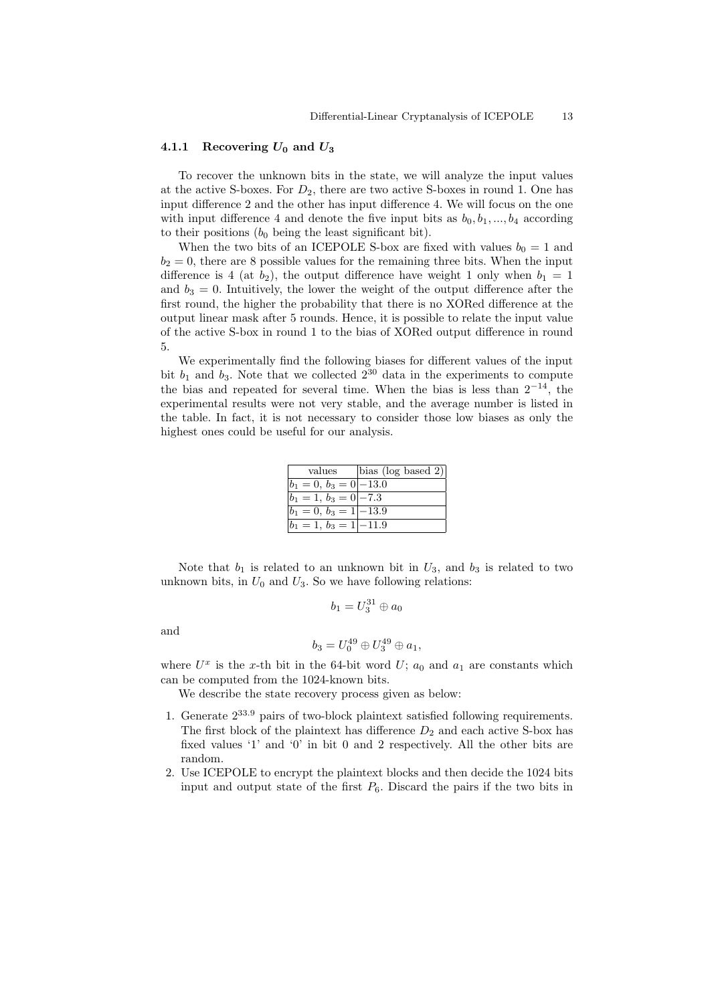#### 4.1.1 Recovering  $U_0$  and  $U_3$

To recover the unknown bits in the state, we will analyze the input values at the active S-boxes. For  $D_2$ , there are two active S-boxes in round 1. One has input difference 2 and the other has input difference 4. We will focus on the one with input difference 4 and denote the five input bits as  $b_0, b_1, ..., b_4$  according to their positions  $(b_0 \text{ being the least significant bit}).$ 

When the two bits of an ICEPOLE S-box are fixed with values  $b_0 = 1$  and  $b_2 = 0$ , there are 8 possible values for the remaining three bits. When the input difference is 4 (at  $b_2$ ), the output difference have weight 1 only when  $b_1 = 1$ and  $b_3 = 0$ . Intuitively, the lower the weight of the output difference after the first round, the higher the probability that there is no XORed difference at the output linear mask after 5 rounds. Hence, it is possible to relate the input value of the active S-box in round 1 to the bias of XORed output difference in round 5.

We experimentally find the following biases for different values of the input bit  $b_1$  and  $b_3$ . Note that we collected  $2^{30}$  data in the experiments to compute the bias and repeated for several time. When the bias is less than  $2^{-14}$ , the experimental results were not very stable, and the average number is listed in the table. In fact, it is not necessary to consider those low biases as only the highest ones could be useful for our analysis.

| values                    | $\left  \text{bias (log based 2)} \right $ |
|---------------------------|--------------------------------------------|
| $b_1 = 0, b_3 = 0$  -13.0 |                                            |
| $b_1 = 1, b_3 = 0$   -7.3 |                                            |
| $b_1 = 0, b_3 = 1$  -13.9 |                                            |
| $b_1 = 1, b_3 = 1$  -11.9 |                                            |

Note that  $b_1$  is related to an unknown bit in  $U_3$ , and  $b_3$  is related to two unknown bits, in  $U_0$  and  $U_3$ . So we have following relations:

$$
b_1=U_3^{31}\oplus a_0
$$

and

$$
b_3 = U_0^{49} \oplus U_3^{49} \oplus a_1,
$$

where  $U^x$  is the x-th bit in the 64-bit word  $U; a_0$  and  $a_1$  are constants which can be computed from the 1024-known bits.

We describe the state recovery process given as below:

- 1. Generate 2<sup>33</sup>.<sup>9</sup> pairs of two-block plaintext satisfied following requirements. The first block of the plaintext has difference  $D_2$  and each active S-box has fixed values '1' and '0' in bit 0 and 2 respectively. All the other bits are random.
- 2. Use ICEPOLE to encrypt the plaintext blocks and then decide the 1024 bits input and output state of the first  $P_6$ . Discard the pairs if the two bits in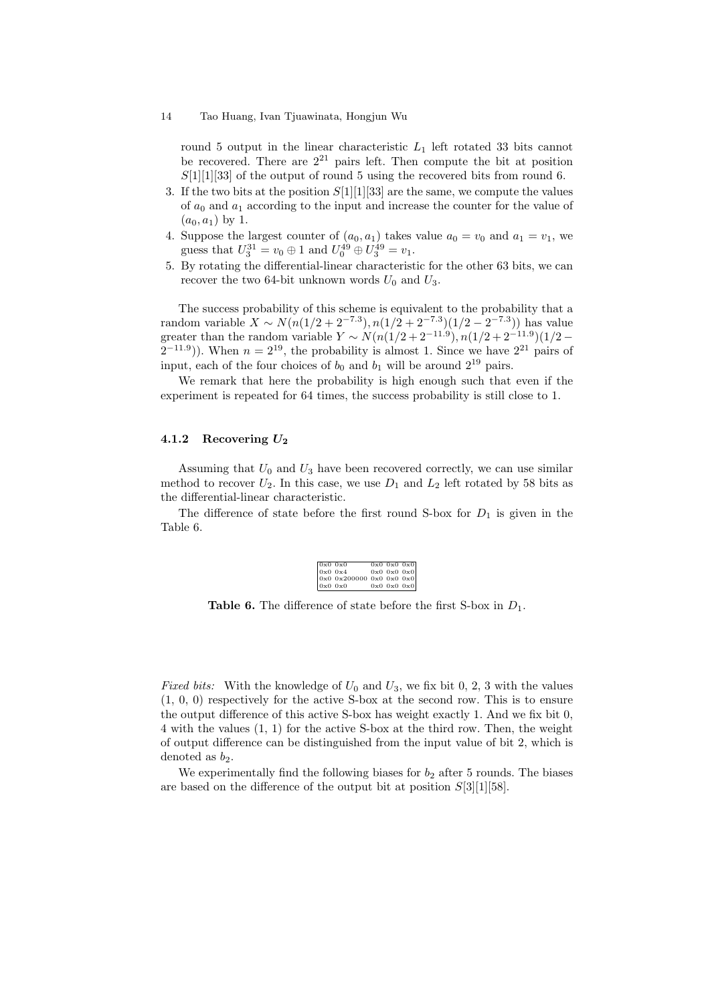round 5 output in the linear characteristic  $L_1$  left rotated 33 bits cannot be recovered. There are  $2^{21}$  pairs left. Then compute the bit at position  $S[1][1][33]$  of the output of round 5 using the recovered bits from round 6.

- 3. If the two bits at the position  $S[1][1][33]$  are the same, we compute the values of  $a_0$  and  $a_1$  according to the input and increase the counter for the value of  $(a_0, a_1)$  by 1.
- 4. Suppose the largest counter of  $(a_0, a_1)$  takes value  $a_0 = v_0$  and  $a_1 = v_1$ , we guess that  $U_3^{31} = v_0 \oplus 1$  and  $U_0^{49} \oplus U_3^{49} = v_1$ .
- 5. By rotating the differential-linear characteristic for the other 63 bits, we can recover the two 64-bit unknown words  $U_0$  and  $U_3$ .

The success probability of this scheme is equivalent to the probability that a random variable  $X \sim N(n(1/2 + 2^{-7.3}), n(1/2 + 2^{-7.3})(1/2 - 2^{-7.3}))$  has value greater than the random variable  $Y \sim N(n(1/2 + 2^{-11.9}), n(1/2 + 2^{-11.9})(1/2 (2^{-11.9})$ ). When  $n = 2^{19}$ , the probability is almost 1. Since we have  $2^{21}$  pairs of input, each of the four choices of  $b_0$  and  $b_1$  will be around  $2^{19}$  pairs.

We remark that here the probability is high enough such that even if the experiment is repeated for 64 times, the success probability is still close to 1.

### 4.1.2 Recovering  $U_2$

Assuming that  $U_0$  and  $U_3$  have been recovered correctly, we can use similar method to recover  $U_2$ . In this case, we use  $D_1$  and  $L_2$  left rotated by 58 bits as the differential-linear characteristic.

The difference of state before the first round S-box for  $D_1$  is given in the Table 6.

| $\begin{array}{ll} 0 \text{x0 } 0 \text{x0} & 0 \text{x0 } 0 \text{x0 } 0 \text{x0} \\ 0 \text{x0 } 0 \text{x4} & 0 \text{x0 } 0 \text{x0 } 0 \text{x0} \\ 0 \text{x0 } 0 \text{x200000 } 0 \text{x0 } 0 \text{x0 } 0 \text{x0} \\ 0 \text{x0 } 0 \text{x0} & 0 \text{x0 } 0 \text{x0 } 0 \text{x0} \end{array}$ |  |  |
|------------------------------------------------------------------------------------------------------------------------------------------------------------------------------------------------------------------------------------------------------------------------------------------------------------------|--|--|
|                                                                                                                                                                                                                                                                                                                  |  |  |
|                                                                                                                                                                                                                                                                                                                  |  |  |
|                                                                                                                                                                                                                                                                                                                  |  |  |

**Table 6.** The difference of state before the first S-box in  $D_1$ .

*Fixed bits:* With the knowledge of  $U_0$  and  $U_3$ , we fix bit 0, 2, 3 with the values (1, 0, 0) respectively for the active S-box at the second row. This is to ensure the output difference of this active S-box has weight exactly 1. And we fix bit 0, 4 with the values (1, 1) for the active S-box at the third row. Then, the weight of output difference can be distinguished from the input value of bit 2, which is denoted as  $b_2$ .

We experimentally find the following biases for  $b_2$  after 5 rounds. The biases are based on the difference of the output bit at position  $S[3][1][58]$ .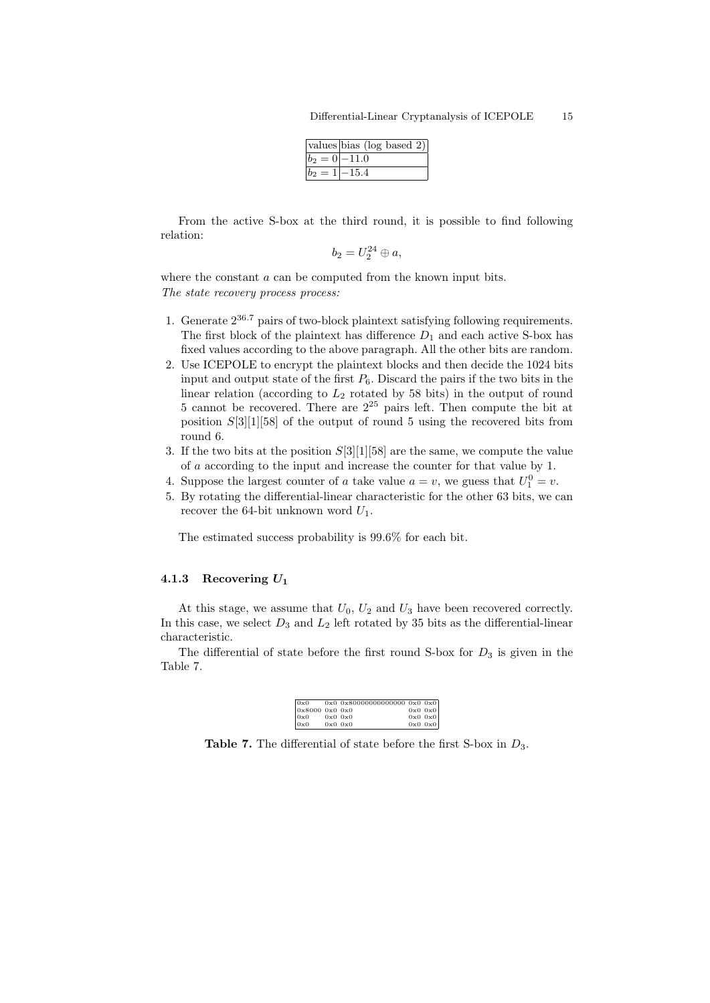|                | $\sqrt{\text{values}}$ bias (log based 2) |
|----------------|-------------------------------------------|
| $ b_2=0 -11.0$ |                                           |
| $ b_2=1$       | $-15.4$                                   |

From the active S-box at the third round, it is possible to find following relation:

$$
b_2 = U_2^{24} \oplus a,
$$

where the constant  $a$  can be computed from the known input bits. The state recovery process process:

- 1. Generate  $2^{36.7}$  pairs of two-block plaintext satisfying following requirements. The first block of the plaintext has difference  $D_1$  and each active S-box has fixed values according to the above paragraph. All the other bits are random.
- 2. Use ICEPOLE to encrypt the plaintext blocks and then decide the 1024 bits input and output state of the first  $P_6$ . Discard the pairs if the two bits in the linear relation (according to  $L_2$  rotated by 58 bits) in the output of round  $5$  cannot be recovered. There are  $2^{25}$  pairs left. Then compute the bit at position  $S[3][1][58]$  of the output of round 5 using the recovered bits from round 6.
- 3. If the two bits at the position  $S[3][1][58]$  are the same, we compute the value of a according to the input and increase the counter for that value by 1.
- 4. Suppose the largest counter of a take value  $a = v$ , we guess that  $U_1^0 = v$ .
- 5. By rotating the differential-linear characteristic for the other 63 bits, we can recover the 64-bit unknown word  $U_1$ .

The estimated success probability is 99.6% for each bit.

### 4.1.3 Recovering  $U_1$

At this stage, we assume that  $U_0$ ,  $U_2$  and  $U_3$  have been recovered correctly. In this case, we select  $D_3$  and  $L_2$  left rotated by 35 bits as the differential-linear characteristic.

The differential of state before the first round S-box for  $D_3$  is given in the Table 7.

| 0x0           |             | $0x0$ $0x80000000000000$ $0x0$ $0x0$ |             |
|---------------|-------------|--------------------------------------|-------------|
| 0x80000000000 |             |                                      | $0x0$ $0x0$ |
| 0x0           | $0x0$ $0x0$ |                                      | $0x0$ $0x0$ |
| 0x0           | $0x0$ $0x0$ |                                      | $0x0$ $0x0$ |

**Table 7.** The differential of state before the first S-box in  $D_3$ .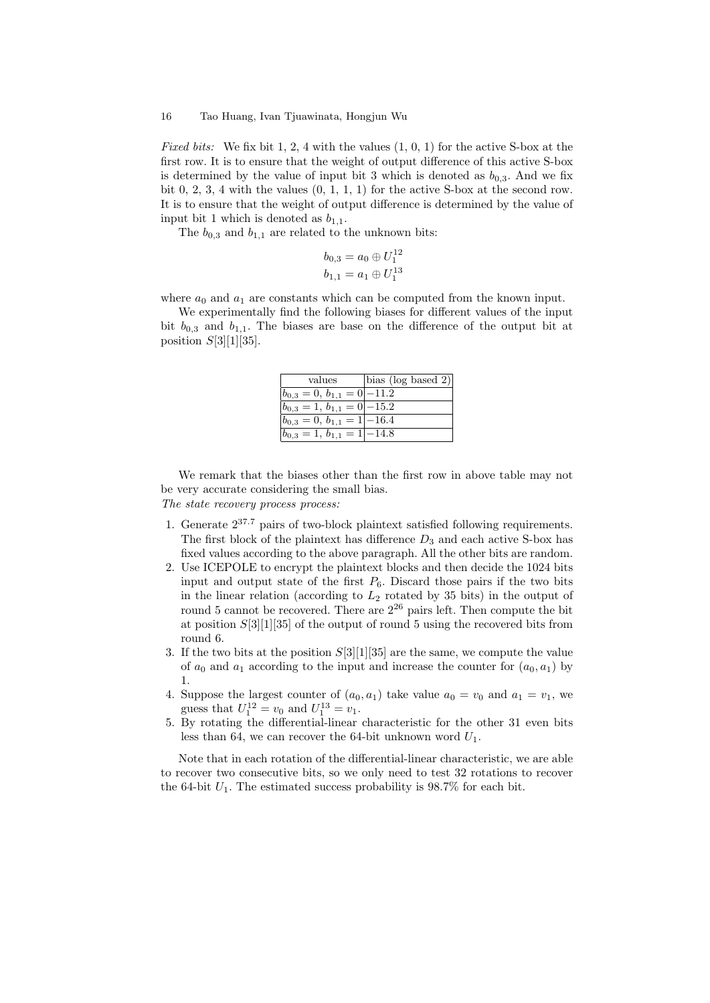*Fixed bits:* We fix bit 1, 2, 4 with the values  $(1, 0, 1)$  for the active S-box at the first row. It is to ensure that the weight of output difference of this active S-box is determined by the value of input bit 3 which is denoted as  $b_{0,3}$ . And we fix bit  $0, 2, 3, 4$  with the values  $(0, 1, 1, 1)$  for the active S-box at the second row. It is to ensure that the weight of output difference is determined by the value of input bit 1 which is denoted as  $b_{1,1}$ .

The  $b_{0,3}$  and  $b_{1,1}$  are related to the unknown bits:

$$
b_{0,3} = a_0 \oplus U_1^{12}
$$
  

$$
b_{1,1} = a_1 \oplus U_1^{13}
$$

where  $a_0$  and  $a_1$  are constants which can be computed from the known input.

We experimentally find the following biases for different values of the input bit  $b_{0,3}$  and  $b_{1,1}$ . The biases are base on the difference of the output bit at position  $S[3][1][35]$ .

| values                         | bias (log based 2) |
|--------------------------------|--------------------|
| $ b_{0,3}=0, b_{1,1}=0 -11.2$  |                    |
| $ b_{0,3}=1, b_{1,1}=0 -15.2$  |                    |
| $ b_{0,3}=0, b_{1,1}=1 $ -16.4 |                    |
| $ b_{0,3}=1, b_{1,1}=1 -14.8$  |                    |

We remark that the biases other than the first row in above table may not be very accurate considering the small bias.

The state recovery process process:

- 1. Generate 237.<sup>7</sup> pairs of two-block plaintext satisfied following requirements. The first block of the plaintext has difference  $D_3$  and each active S-box has fixed values according to the above paragraph. All the other bits are random.
- 2. Use ICEPOLE to encrypt the plaintext blocks and then decide the 1024 bits input and output state of the first  $P_6$ . Discard those pairs if the two bits in the linear relation (according to  $L_2$  rotated by 35 bits) in the output of round 5 cannot be recovered. There are  $2^{26}$  pairs left. Then compute the bit at position S[3][1][35] of the output of round 5 using the recovered bits from round 6.
- 3. If the two bits at the position  $S[3][1][35]$  are the same, we compute the value of  $a_0$  and  $a_1$  according to the input and increase the counter for  $(a_0, a_1)$  by 1.
- 4. Suppose the largest counter of  $(a_0, a_1)$  take value  $a_0 = v_0$  and  $a_1 = v_1$ , we guess that  $U_1^{12} = v_0$  and  $U_1^{13} = v_1$ .
- 5. By rotating the differential-linear characteristic for the other 31 even bits less than 64, we can recover the 64-bit unknown word  $U_1$ .

Note that in each rotation of the differential-linear characteristic, we are able to recover two consecutive bits, so we only need to test 32 rotations to recover the 64-bit  $U_1$ . The estimated success probability is 98.7% for each bit.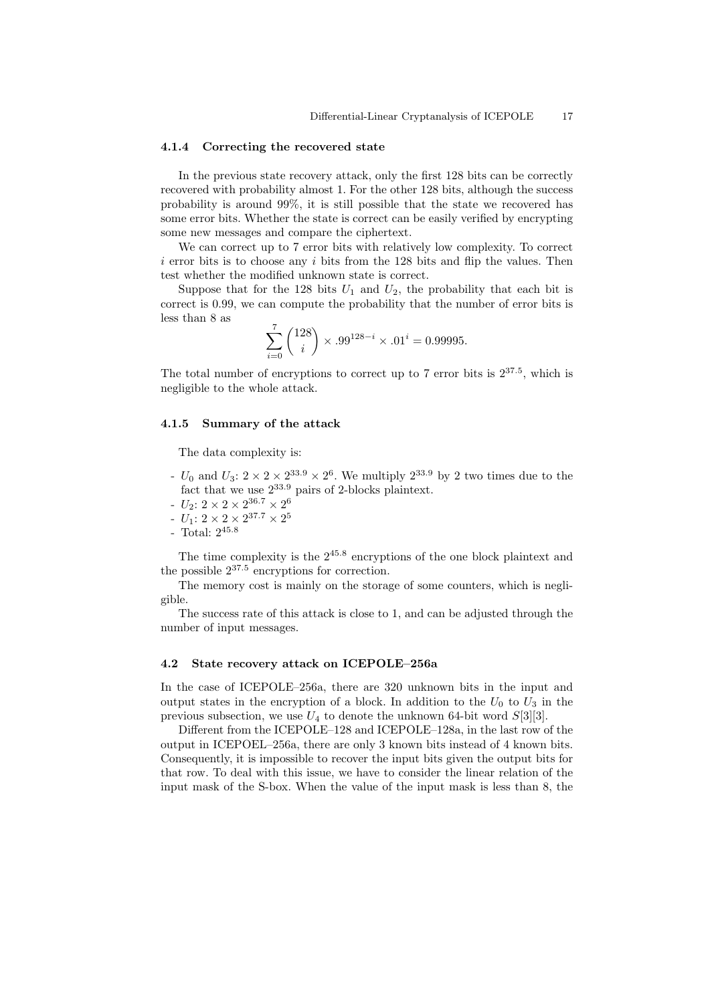#### 4.1.4 Correcting the recovered state

In the previous state recovery attack, only the first 128 bits can be correctly recovered with probability almost 1. For the other 128 bits, although the success probability is around 99%, it is still possible that the state we recovered has some error bits. Whether the state is correct can be easily verified by encrypting some new messages and compare the ciphertext.

We can correct up to 7 error bits with relatively low complexity. To correct  $i$  error bits is to choose any i bits from the 128 bits and flip the values. Then test whether the modified unknown state is correct.

Suppose that for the 128 bits  $U_1$  and  $U_2$ , the probability that each bit is correct is 0.99, we can compute the probability that the number of error bits is less than 8 as

$$
\sum_{i=0}^{7} {128 \choose i} \times .99^{128-i} \times .01^i = 0.99995.
$$

The total number of encryptions to correct up to 7 error bits is  $2^{37.5}$ , which is negligible to the whole attack.

### 4.1.5 Summary of the attack

The data complexity is:

- $U_0$  and  $U_3$ :  $2 \times 2 \times 2^{33.9} \times 2^6$ . We multiply  $2^{33.9}$  by 2 two times due to the fact that we use 233.<sup>9</sup> pairs of 2-blocks plaintext.
- $U_2$ :  $2 \times 2 \times 2^{36.7} \times 2^6$
- $U_1$ :  $2 \times 2 \times 2^{37.7} \times 2^5$
- Total: 245.<sup>8</sup>

The time complexity is the 245.<sup>8</sup> encryptions of the one block plaintext and the possible  $2^{37.5}$  encryptions for correction.

The memory cost is mainly on the storage of some counters, which is negligible.

The success rate of this attack is close to 1, and can be adjusted through the number of input messages.

### 4.2 State recovery attack on ICEPOLE–256a

In the case of ICEPOLE–256a, there are 320 unknown bits in the input and output states in the encryption of a block. In addition to the  $U_0$  to  $U_3$  in the previous subsection, we use  $U_4$  to denote the unknown 64-bit word  $S[3][3]$ .

Different from the ICEPOLE–128 and ICEPOLE–128a, in the last row of the output in ICEPOEL–256a, there are only 3 known bits instead of 4 known bits. Consequently, it is impossible to recover the input bits given the output bits for that row. To deal with this issue, we have to consider the linear relation of the input mask of the S-box. When the value of the input mask is less than 8, the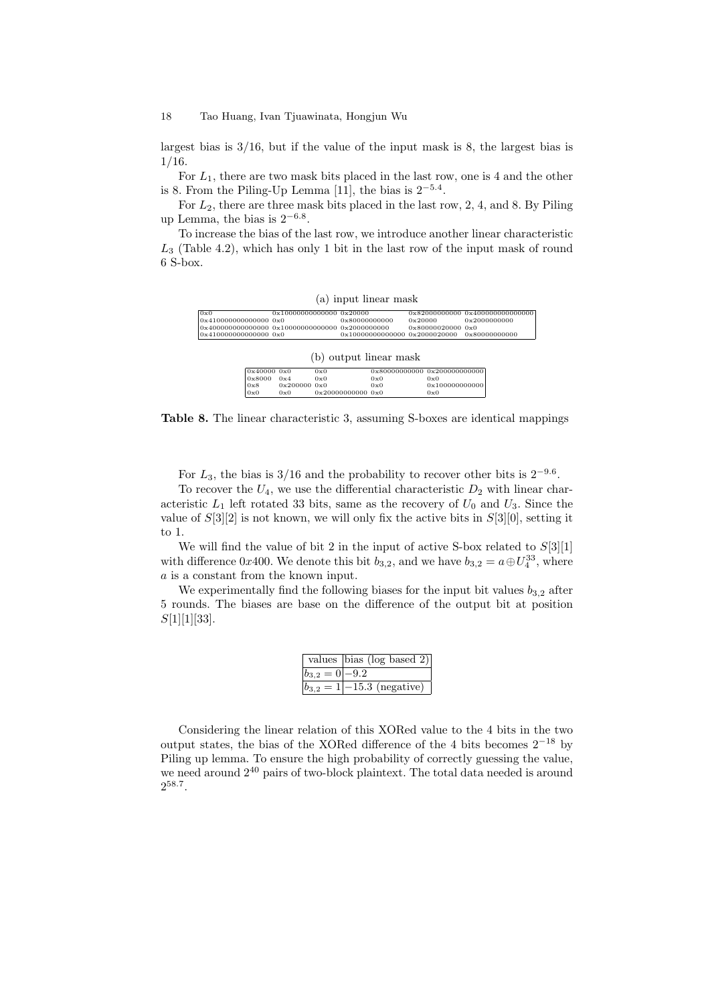largest bias is 3/16, but if the value of the input mask is 8, the largest bias is 1/16.

For  $L_1$ , there are two mask bits placed in the last row, one is 4 and the other is 8. From the Piling-Up Lemma [11], the bias is  $2^{-5.4}$ .

For  $L_2$ , there are three mask bits placed in the last row, 2, 4, and 8. By Piling up Lemma, the bias is  $2^{-6.8}$ .

To increase the bias of the last row, we introduce another linear characteristic  $L<sub>3</sub>$  (Table 4.2), which has only 1 bit in the last row of the input mask of round 6 S-box.

| (a) input linear mask |
|-----------------------|
|-----------------------|

| 0x0                                                                         |             |               |     |  |               |                              | 0x82000000000 0x400000000000000 |  |  |  |  |
|-----------------------------------------------------------------------------|-------------|---------------|-----|--|---------------|------------------------------|---------------------------------|--|--|--|--|
| 0x410000000000000 0x0                                                       |             |               |     |  | 0x80000000000 | 0x20000                      | 0x2000000000                    |  |  |  |  |
| $0 \times 400000000000000$ $0 \times 100000000000000$ $0 \times 2000000000$ |             |               |     |  |               | 0x80000020000 0x0            |                                 |  |  |  |  |
| 0x410000000000000 0x0                                                       |             |               |     |  |               |                              | 0x80000000000                   |  |  |  |  |
|                                                                             |             |               |     |  |               |                              |                                 |  |  |  |  |
|                                                                             |             |               |     |  |               |                              |                                 |  |  |  |  |
| (b) output linear mask                                                      |             |               |     |  |               |                              |                                 |  |  |  |  |
|                                                                             | 0x4000000x0 |               | 0x0 |  |               | 0x80000000000 0x200000000000 |                                 |  |  |  |  |
|                                                                             | 0x8000      | 0x4           | 0x0 |  | 0x0           | 0x0                          |                                 |  |  |  |  |
|                                                                             |             |               |     |  |               |                              |                                 |  |  |  |  |
|                                                                             | 0x8         | 0x200000000x0 |     |  | 0x0           | 0x100000000000               |                                 |  |  |  |  |

 $\begin{array}{ccc} 0 \times 0 & 0 \times 0 & 0 \times 20000000000 & 0 \times 0 & 0 \times 0 \end{array}$ 

Table 8. The linear characteristic 3, assuming S-boxes are identical mappings

For  $L_3$ , the bias is 3/16 and the probability to recover other bits is  $2^{-9.6}$ .

To recover the  $U_4$ , we use the differential characteristic  $D_2$  with linear characteristic  $L_1$  left rotated 33 bits, same as the recovery of  $U_0$  and  $U_3$ . Since the value of  $S[3][2]$  is not known, we will only fix the active bits in  $S[3][0]$ , setting it to 1.

We will find the value of bit 2 in the input of active S-box related to  $S[3][1]$ with difference 0x400. We denote this bit  $b_{3,2}$ , and we have  $b_{3,2} = a \oplus U_4^{33}$ , where  $\boldsymbol{a}$  is a constant from the known input.

We experimentally find the following biases for the input bit values  $b_{3,2}$  after 5 rounds. The biases are base on the difference of the output bit at position  $S[1][1][33]$ .

|                   | values $\vert$ bias (log based 2) |
|-------------------|-----------------------------------|
| $ b_{3,2}=0 -9.2$ |                                   |
|                   | $ b_{3,2}=1 $ – 15.3 (negative)   |

Considering the linear relation of this XORed value to the 4 bits in the two output states, the bias of the XORed difference of the 4 bits becomes  $2^{-18}$  by Piling up lemma. To ensure the high probability of correctly guessing the value, we need around  $2^{40}$  pairs of two-block plaintext. The total data needed is around  $2^{58.7}$ .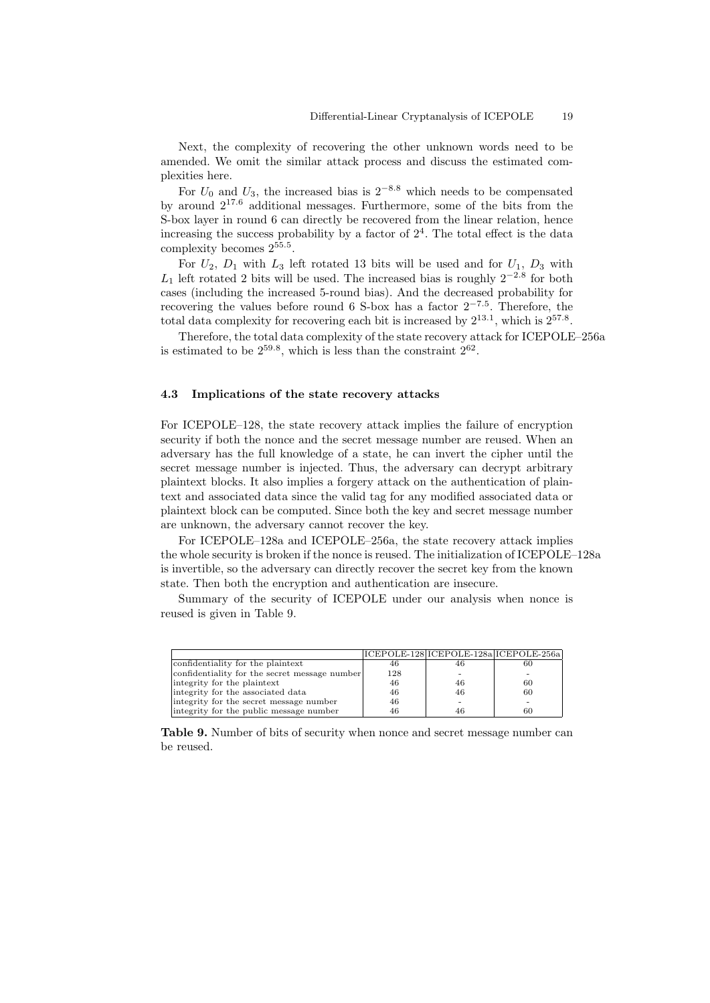Next, the complexity of recovering the other unknown words need to be amended. We omit the similar attack process and discuss the estimated complexities here.

For  $U_0$  and  $U_3$ , the increased bias is 2<sup>-8.8</sup> which needs to be compensated by around 217.<sup>6</sup> additional messages. Furthermore, some of the bits from the S-box layer in round 6 can directly be recovered from the linear relation, hence increasing the success probability by a factor of  $2<sup>4</sup>$ . The total effect is the data complexity becomes 255.<sup>5</sup> .

For  $U_2$ ,  $D_1$  with  $L_3$  left rotated 13 bits will be used and for  $U_1$ ,  $D_3$  with  $L_1$  left rotated 2 bits will be used. The increased bias is roughly  $2^{-2.8}$  for both cases (including the increased 5-round bias). And the decreased probability for recovering the values before round 6 S-box has a factor  $2^{-7.5}$ . Therefore, the total data complexity for recovering each bit is increased by  $2^{13.1}$ , which is  $2^{57.8}$ .

Therefore, the total data complexity of the state recovery attack for ICEPOLE–256a is estimated to be  $2^{59.8}$ , which is less than the constraint  $2^{62}$ .

### 4.3 Implications of the state recovery attacks

For ICEPOLE–128, the state recovery attack implies the failure of encryption security if both the nonce and the secret message number are reused. When an adversary has the full knowledge of a state, he can invert the cipher until the secret message number is injected. Thus, the adversary can decrypt arbitrary plaintext blocks. It also implies a forgery attack on the authentication of plaintext and associated data since the valid tag for any modified associated data or plaintext block can be computed. Since both the key and secret message number are unknown, the adversary cannot recover the key.

For ICEPOLE–128a and ICEPOLE–256a, the state recovery attack implies the whole security is broken if the nonce is reused. The initialization of ICEPOLE–128a is invertible, so the adversary can directly recover the secret key from the known state. Then both the encryption and authentication are insecure.

Summary of the security of ICEPOLE under our analysis when nonce is reused is given in Table 9.

|                                               |     | ICEPOLE-128 ICEPOLE-128a ICEPOLE-256a |    |
|-----------------------------------------------|-----|---------------------------------------|----|
| confidentiality for the plaintext             | 46  |                                       | 60 |
| confidentiality for the secret message number | 128 |                                       |    |
| integrity for the plaintext                   | 46  | 46                                    | 60 |
| integrity for the associated data             | 46  | 46                                    | 60 |
| integrity for the secret message number       | 46  |                                       | -  |
| integrity for the public message number       | 46  | 46                                    | 60 |

Table 9. Number of bits of security when nonce and secret message number can be reused.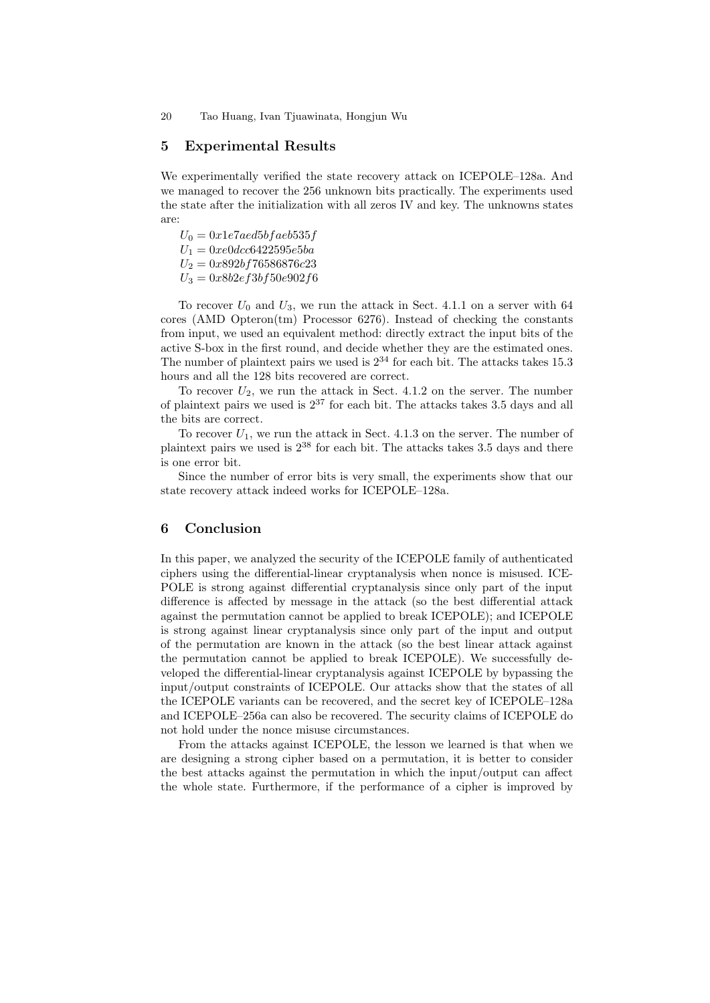### 5 Experimental Results

We experimentally verified the state recovery attack on ICEPOLE–128a. And we managed to recover the 256 unknown bits practically. The experiments used the state after the initialization with all zeros IV and key. The unknowns states are:

 $U_0 = 0x1e7aed5bfaeb535f$  $U_1 = 0xe0dcc6422595e5ba$  $U_2 = 0x892b f 76586876c23$  $U_3 = 0x8b2ef3bf50e902f6$ 

To recover  $U_0$  and  $U_3$ , we run the attack in Sect. 4.1.1 on a server with 64  $\frac{1}{2}$  cores (AMD Opteron $\frac{1}{2}$ ). Processor 6276). Instead of checking the constants from input, we used an equivalent method: directly extract the input bits of the active S-box in the first round, and decide whether they are the estimated ones. The number of plaintext pairs we used is  $2^{34}$  for each bit. The attacks takes 15.3 hours and all the 128 bits recovered are correct.

To recover  $U_2$ , we run the attack in Sect. 4.1.2 on the server. The number of plaintext pairs we used is  $2^{37}$  for each bit. The attacks takes 3.5 days and all the bits are correct.

To recover  $U_1$ , we run the attack in Sect. 4.1.3 on the server. The number of plaintext pairs we used is  $2^{38}$  for each bit. The attacks takes 3.5 days and there is one error bit.

Since the number of error bits is very small, the experiments show that our state recovery attack indeed works for ICEPOLE–128a.

### 6 Conclusion

In this paper, we analyzed the security of the ICEPOLE family of authenticated ciphers using the differential-linear cryptanalysis when nonce is misused. ICE-POLE is strong against differential cryptanalysis since only part of the input difference is affected by message in the attack (so the best differential attack against the permutation cannot be applied to break ICEPOLE); and ICEPOLE is strong against linear cryptanalysis since only part of the input and output of the permutation are known in the attack (so the best linear attack against the permutation cannot be applied to break ICEPOLE). We successfully developed the differential-linear cryptanalysis against ICEPOLE by bypassing the input/output constraints of ICEPOLE. Our attacks show that the states of all the ICEPOLE variants can be recovered, and the secret key of ICEPOLE–128a and ICEPOLE–256a can also be recovered. The security claims of ICEPOLE do not hold under the nonce misuse circumstances.

From the attacks against ICEPOLE, the lesson we learned is that when we are designing a strong cipher based on a permutation, it is better to consider the best attacks against the permutation in which the input/output can affect the whole state. Furthermore, if the performance of a cipher is improved by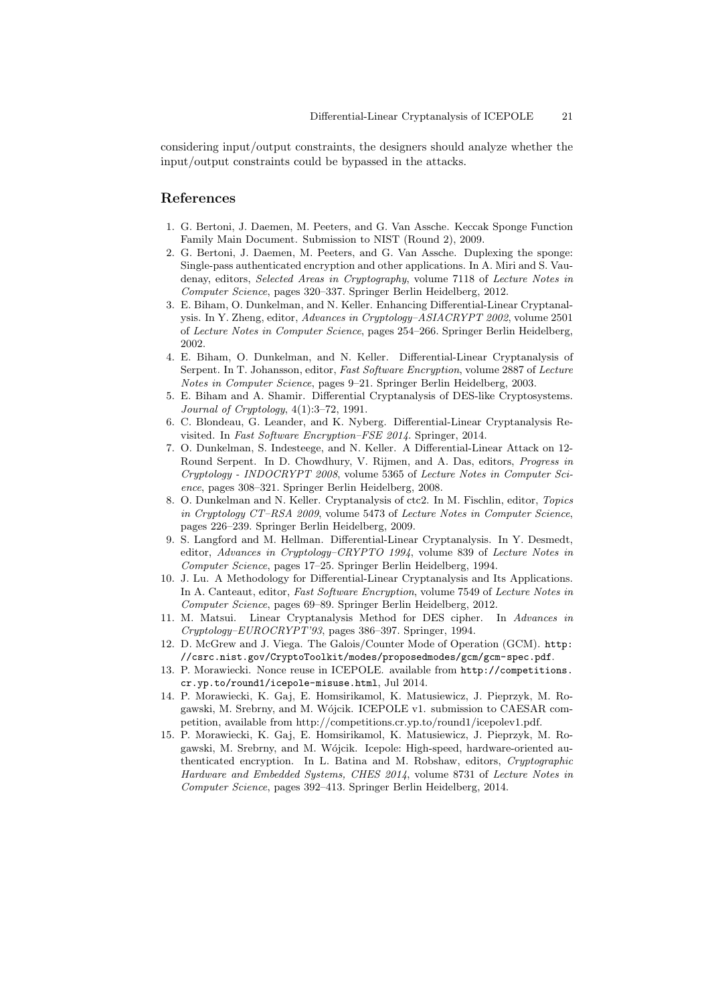considering input/output constraints, the designers should analyze whether the input/output constraints could be bypassed in the attacks.

# References

- 1. G. Bertoni, J. Daemen, M. Peeters, and G. Van Assche. Keccak Sponge Function Family Main Document. Submission to NIST (Round 2), 2009.
- 2. G. Bertoni, J. Daemen, M. Peeters, and G. Van Assche. Duplexing the sponge: Single-pass authenticated encryption and other applications. In A. Miri and S. Vaudenay, editors, Selected Areas in Cryptography, volume 7118 of Lecture Notes in Computer Science, pages 320–337. Springer Berlin Heidelberg, 2012.
- 3. E. Biham, O. Dunkelman, and N. Keller. Enhancing Differential-Linear Cryptanalysis. In Y. Zheng, editor, Advances in Cryptology–ASIACRYPT 2002, volume 2501 of Lecture Notes in Computer Science, pages 254–266. Springer Berlin Heidelberg, 2002.
- 4. E. Biham, O. Dunkelman, and N. Keller. Differential-Linear Cryptanalysis of Serpent. In T. Johansson, editor, Fast Software Encryption, volume 2887 of Lecture Notes in Computer Science, pages 9–21. Springer Berlin Heidelberg, 2003.
- 5. E. Biham and A. Shamir. Differential Cryptanalysis of DES-like Cryptosystems. Journal of Cryptology, 4(1):3–72, 1991.
- 6. C. Blondeau, G. Leander, and K. Nyberg. Differential-Linear Cryptanalysis Revisited. In Fast Software Encryption–FSE 2014. Springer, 2014.
- 7. O. Dunkelman, S. Indesteege, and N. Keller. A Differential-Linear Attack on 12- Round Serpent. In D. Chowdhury, V. Rijmen, and A. Das, editors, Progress in Cryptology - INDOCRYPT 2008, volume 5365 of Lecture Notes in Computer Science, pages 308–321. Springer Berlin Heidelberg, 2008.
- 8. O. Dunkelman and N. Keller. Cryptanalysis of ctc2. In M. Fischlin, editor, Topics in Cryptology CT–RSA 2009, volume 5473 of Lecture Notes in Computer Science, pages 226–239. Springer Berlin Heidelberg, 2009.
- 9. S. Langford and M. Hellman. Differential-Linear Cryptanalysis. In Y. Desmedt, editor, Advances in Cryptology–CRYPTO 1994, volume 839 of Lecture Notes in Computer Science, pages 17–25. Springer Berlin Heidelberg, 1994.
- 10. J. Lu. A Methodology for Differential-Linear Cryptanalysis and Its Applications. In A. Canteaut, editor, Fast Software Encryption, volume 7549 of Lecture Notes in Computer Science, pages 69–89. Springer Berlin Heidelberg, 2012.
- 11. M. Matsui. Linear Cryptanalysis Method for DES cipher. In Advances in Cryptology–EUROCRYPT'93, pages 386–397. Springer, 1994.
- 12. D. McGrew and J. Viega. The Galois/Counter Mode of Operation (GCM). http: //csrc.nist.gov/CryptoToolkit/modes/proposedmodes/gcm/gcm-spec.pdf.
- 13. P. Morawiecki. Nonce reuse in ICEPOLE. available from http://competitions. cr.yp.to/round1/icepole-misuse.html, Jul 2014.
- 14. P. Morawiecki, K. Gaj, E. Homsirikamol, K. Matusiewicz, J. Pieprzyk, M. Rogawski, M. Srebrny, and M. Wójcik. ICEPOLE v1. submission to CAESAR competition, available from http://competitions.cr.yp.to/round1/icepolev1.pdf.
- 15. P. Morawiecki, K. Gaj, E. Homsirikamol, K. Matusiewicz, J. Pieprzyk, M. Rogawski, M. Srebrny, and M. Wójcik. Icepole: High-speed, hardware-oriented authenticated encryption. In L. Batina and M. Robshaw, editors, Cryptographic Hardware and Embedded Systems, CHES 2014, volume 8731 of Lecture Notes in Computer Science, pages 392–413. Springer Berlin Heidelberg, 2014.